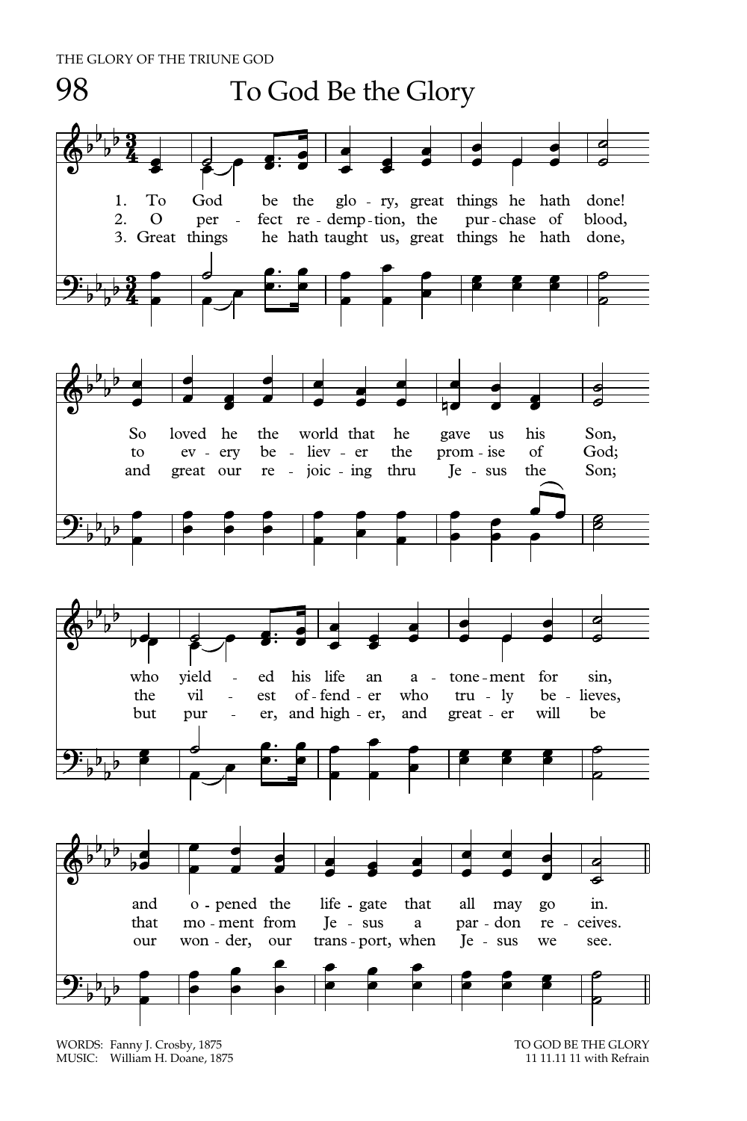

WORDS: Fanny J. Crosby, 1875 TO GOD BE THE GLORY TO GOD BE THE GLORY TO GOD BE THE GLORY MUSIC: William H. Doane, 1875